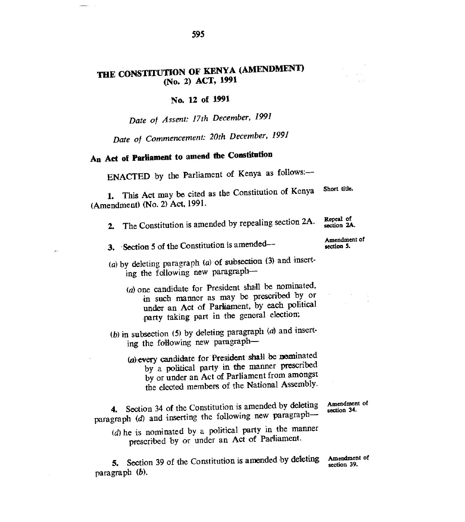## **THE CONSTITUTION OF KENYA (AMENDMENT) (No.** 2) **ACT, 1991**

## **No. 12 of 1991**

*Date of Assent; 17th December, 1991* 

*Date of Commencement: 20th December, 1991* 

## **An Act of Parliament to amend the Constitution**

ENACTED by the Parliament of Kenya as follows:—

1. This Act may be cited as the Constitution of Kenya (Amendment) (No. 2) Act, 1991. Short title.

- 2. The Constitution is amended by repealing section 2A.
- 3. Section 5 of the Constitution is amended—
- (a) by deleting paragraph *(a)* of subsection (3) and inserting the following new paragraph—
	- *(a)* one candidate for President shall be nominated, in such manner as may be prescribed by or **under** an Act of Parliament, by each political party taking part in the general election;
- (b) in subsection (5) by deleting paragraph *(a)* and inserting the following new paragraph—
	- (a) every candidate for President shall be nominated by a political party in the manner prescribed by or under an Act of Parliament from amongst the elected members of the National Assembly.

4. Section 34 of the Constitution is amended by deleting paragraph *(d)* and inserting the following new paragraph—

- Amendment of<br>section 34.
- *(d)* he is nominated by a political party in the manner prescribed by or under an Act of Parliament.

5. Section 39 of the Constitution is amended by **deleting** Amendment of paragraph *(b).*  section 39.

Repeal of section 2A.

Amendment of section 5.